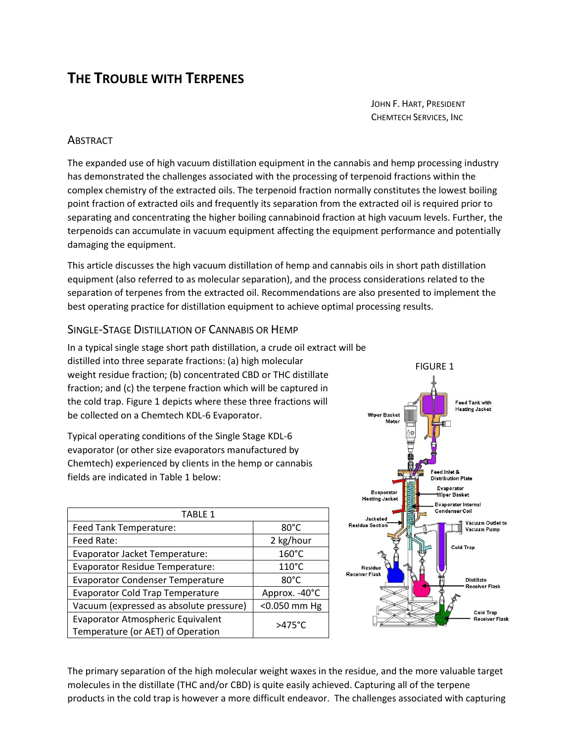# **THE TROUBLE WITH TERPENES**

JOHN F. HART, PRESIDENT CHEMTECH SERVICES, INC

### **ABSTRACT**

The expanded use of high vacuum distillation equipment in the cannabis and hemp processing industry has demonstrated the challenges associated with the processing of terpenoid fractions within the complex chemistry of the extracted oils. The terpenoid fraction normally constitutes the lowest boiling point fraction of extracted oils and frequently its separation from the extracted oil is required prior to separating and concentrating the higher boiling cannabinoid fraction at high vacuum levels. Further, the terpenoids can accumulate in vacuum equipment affecting the equipment performance and potentially damaging the equipment.

This article discusses the high vacuum distillation of hemp and cannabis oils in short path distillation equipment (also referred to as molecular separation), and the process considerations related to the separation of terpenes from the extracted oil. Recommendations are also presented to implement the best operating practice for distillation equipment to achieve optimal processing results.

#### SINGLE-STAGE DISTILLATION OF CANNABIS OR HEMP

In a typical single stage short path distillation, a crude oil extract will be distilled into three separate fractions: (a) high molecular weight residue fraction; (b) concentrated CBD or THC distillate fraction; and (c) the terpene fraction which will be captured in the cold trap. Figure 1 depicts where these three fractions will be collected on a Chemtech KDL-6 Evaporator.

Typical operating conditions of the Single Stage KDL-6 evaporator (or other size evaporators manufactured by Chemtech) experienced by clients in the hemp or cannabis fields are indicated in Table 1 below:

| <b>TABLE 1</b>                                                         |                  |
|------------------------------------------------------------------------|------------------|
| Feed Tank Temperature:                                                 | $80^{\circ}$ C   |
| Feed Rate:                                                             | 2 kg/hour        |
| Evaporator Jacket Temperature:                                         | 160°C            |
| <b>Evaporator Residue Temperature:</b>                                 | $110^{\circ}$ C  |
| <b>Evaporator Condenser Temperature</b>                                | $80^{\circ}$ C   |
| <b>Evaporator Cold Trap Temperature</b>                                | Approx. -40°C    |
| Vacuum (expressed as absolute pressure)                                | <0.050 mm Hg     |
| Evaporator Atmospheric Equivalent<br>Temperature (or AET) of Operation | $>475^{\circ}$ C |



The primary separation of the high molecular weight waxes in the residue, and the more valuable target molecules in the distillate (THC and/or CBD) is quite easily achieved. Capturing all of the terpene products in the cold trap is however a more difficult endeavor. The challenges associated with capturing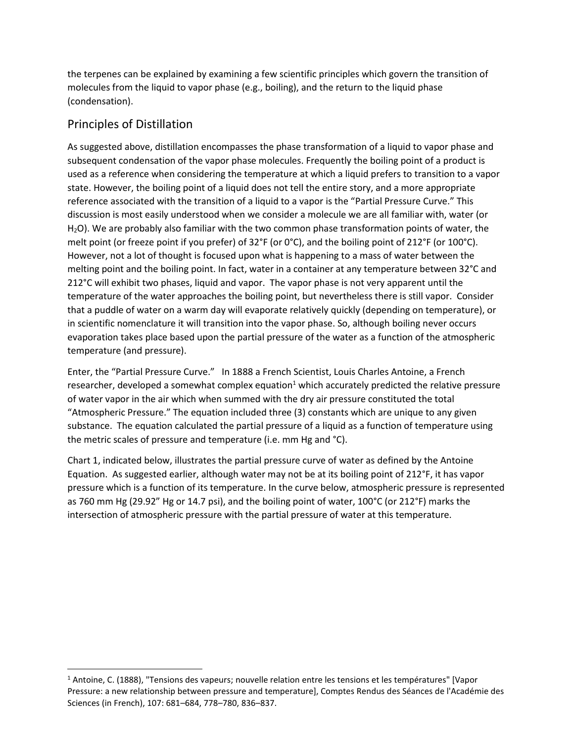the terpenes can be explained by examining a few scientific principles which govern the transition of molecules from the liquid to vapor phase (e.g., boiling), and the return to the liquid phase (condensation).

## Principles of Distillation

As suggested above, distillation encompasses the phase transformation of a liquid to vapor phase and subsequent condensation of the vapor phase molecules. Frequently the boiling point of a product is used as a reference when considering the temperature at which a liquid prefers to transition to a vapor state. However, the boiling point of a liquid does not tell the entire story, and a more appropriate reference associated with the transition of a liquid to a vapor is the "Partial Pressure Curve." This discussion is most easily understood when we consider a molecule we are all familiar with, water (or H2O). We are probably also familiar with the two common phase transformation points of water, the melt point (or freeze point if you prefer) of 32°F (or 0°C), and the boiling point of 212°F (or 100°C). However, not a lot of thought is focused upon what is happening to a mass of water between the melting point and the boiling point. In fact, water in a container at any temperature between 32°C and 212°C will exhibit two phases, liquid and vapor. The vapor phase is not very apparent until the temperature of the water approaches the boiling point, but nevertheless there is still vapor. Consider that a puddle of water on a warm day will evaporate relatively quickly (depending on temperature), or in scientific nomenclature it will transition into the vapor phase. So, although boiling never occurs evaporation takes place based upon the partial pressure of the water as a function of the atmospheric temperature (and pressure).

Enter, the "Partial Pressure Curve." In 1888 a French Scientist, Louis Charles Antoine, a French researcher, developed a somewhat complex equation<sup>1</sup> which accurately predicted the relative pressure of water vapor in the air which when summed with the dry air pressure constituted the total "Atmospheric Pressure." The equation included three (3) constants which are unique to any given substance. The equation calculated the partial pressure of a liquid as a function of temperature using the metric scales of pressure and temperature (i.e. mm Hg and °C).

Chart 1, indicated below, illustrates the partial pressure curve of water as defined by the Antoine Equation. As suggested earlier, although water may not be at its boiling point of 212°F, it has vapor pressure which is a function of its temperature. In the curve below, atmospheric pressure is represented as 760 mm Hg (29.92" Hg or 14.7 psi), and the boiling point of water, 100°C (or 212°F) marks the intersection of atmospheric pressure with the partial pressure of water at this temperature.

<sup>&</sup>lt;sup>1</sup> Antoine, C. (1888), "Tensions des vapeurs; nouvelle relation entre les tensions et les températures" [Vapor Pressure: a new relationship between pressure and temperature], Comptes Rendus des Séances de l'Académie des Sciences (in French), 107: 681–684, 778–780, 836–837.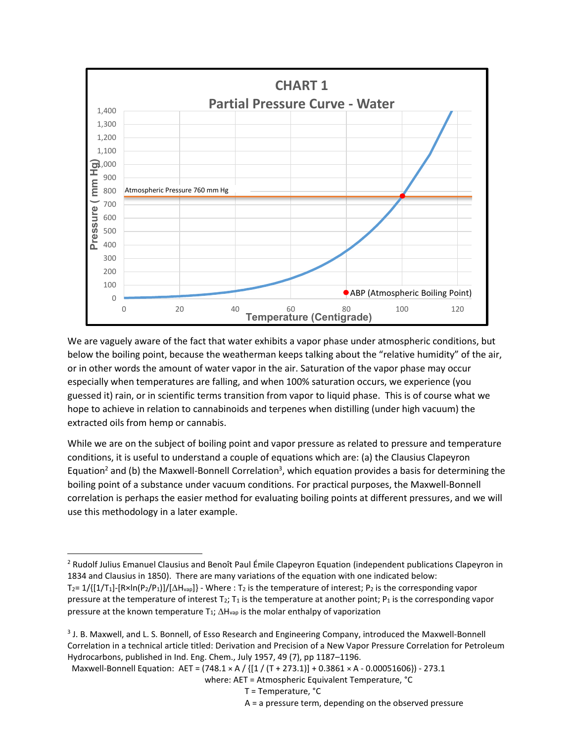

We are vaguely aware of the fact that water exhibits a vapor phase under atmospheric conditions, but below the boiling point, because the weatherman keeps talking about the "relative humidity" of the air, or in other words the amount of water vapor in the air. Saturation of the vapor phase may occur especially when temperatures are falling, and when 100% saturation occurs, we experience (you guessed it) rain, or in scientific terms transition from vapor to liquid phase. This is of course what we hope to achieve in relation to cannabinoids and terpenes when distilling (under high vacuum) the extracted oils from hemp or cannabis.

While we are on the subject of boiling point and vapor pressure as related to pressure and temperature conditions, it is useful to understand a couple of equations which are: (a) the Clausius Clapeyron Equation<sup>2</sup> and (b) the Maxwell-Bonnell Correlation<sup>3</sup>, which equation provides a basis for determining the boiling point of a substance under vacuum conditions. For practical purposes, the Maxwell-Bonnell correlation is perhaps the easier method for evaluating boiling points at different pressures, and we will use this methodology in a later example.

Maxwell-Bonnell Equation: AET = (748.1 × A / {[1 / (T + 273.1)] + 0.3861 × A - 0.00051606}) - 273.1

<sup>&</sup>lt;sup>2</sup> Rudolf Julius Emanuel Clausius and Benoît Paul Émile Clapeyron Equation (independent publications Clapeyron in 1834 and Clausius in 1850). There are many variations of the equation with one indicated below: T<sub>2</sub>=  $1/$ { $[1/T_1]$ -[R×ln(P<sub>2</sub>/P<sub>1</sub>)]/[ $\Delta H_{\text{vap}}$ } - Where : T<sub>2</sub> is the temperature of interest; P<sub>2</sub> is the corresponding vapor pressure at the temperature of interest  $T_2$ ;  $T_1$  is the temperature at another point;  $P_1$  is the corresponding vapor pressure at the known temperature  $T_1$ ;  $\Delta H_{\text{vap}}$  is the molar enthalpy of vaporization

<sup>&</sup>lt;sup>3</sup> J. B. Maxwell, and L. S. Bonnell, of Esso Research and Engineering Company, introduced the Maxwell-Bonnell Correlation in a technical article titled: Derivation and Precision of a New Vapor Pressure Correlation for Petroleum Hydrocarbons, published in Ind. Eng. Chem., July 1957, 49 (7), pp 1187–1196.

where: AET = Atmospheric Equivalent Temperature, °C

T = Temperature, °C

A = a pressure term, depending on the observed pressure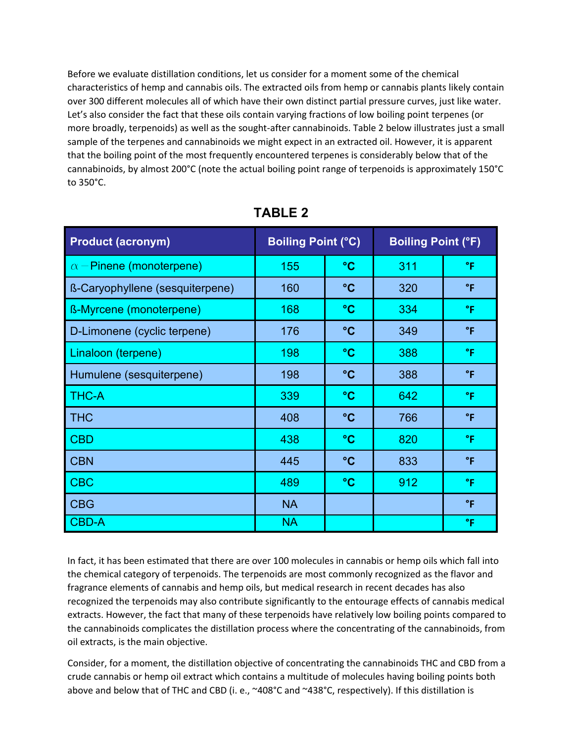Before we evaluate distillation conditions, let us consider for a moment some of the chemical characteristics of hemp and cannabis oils. The extracted oils from hemp or cannabis plants likely contain over 300 different molecules all of which have their own distinct partial pressure curves, just like water. Let's also consider the fact that these oils contain varying fractions of low boiling point terpenes (or more broadly, terpenoids) as well as the sought-after cannabinoids. Table 2 below illustrates just a small sample of the terpenes and cannabinoids we might expect in an extracted oil. However, it is apparent that the boiling point of the most frequently encountered terpenes is considerably below that of the cannabinoids, by almost 200°C (note the actual boiling point range of terpenoids is approximately 150°C to 350°C.

| <b>Product (acronym)</b>        | <b>Boiling Point (°C)</b> |                 | <b>Boiling Point (°F)</b> |              |  |  |
|---------------------------------|---------------------------|-----------------|---------------------------|--------------|--|--|
| $\alpha$ – Pinene (monoterpene) | 155                       | $\rm ^{\circ}C$ | 311                       | °F           |  |  |
| ß-Caryophyllene (sesquiterpene) | 160                       | $\rm ^{\circ}C$ | 320                       | $\mathsf{P}$ |  |  |
| <b>ß-Myrcene (monoterpene)</b>  | 168                       | $\rm ^{\circ}C$ | 334                       | °F           |  |  |
| D-Limonene (cyclic terpene)     | 176                       | $\rm ^{\circ}C$ | 349                       | $\mathsf{P}$ |  |  |
| Linaloon (terpene)              | 198                       | $\rm ^{\circ}C$ | 388                       | °F           |  |  |
| Humulene (sesquiterpene)        | 198                       | $\rm ^{\circ}C$ | 388                       | $\mathsf{P}$ |  |  |
| <b>THC-A</b>                    | 339                       | $\rm ^{\circ}C$ | 642                       | °F           |  |  |
| <b>THC</b>                      | 408                       | $\rm ^{\circ}C$ | 766                       | $\mathsf{P}$ |  |  |
| <b>CBD</b>                      | 438                       | $\rm ^{\circ}C$ | 820                       | °F           |  |  |
| <b>CBN</b>                      | 445                       | $\rm ^{\circ}C$ | 833                       | $\mathsf{P}$ |  |  |
| <b>CBC</b>                      | 489                       | $\rm ^{\circ}C$ | 912                       | °F           |  |  |
| <b>CBG</b>                      | <b>NA</b>                 |                 |                           | $\mathsf{P}$ |  |  |
| <b>CBD-A</b>                    | <b>NA</b>                 |                 |                           | °F           |  |  |

**TABLE 2**

In fact, it has been estimated that there are over 100 molecules in cannabis or hemp oils which fall into the chemical category of terpenoids. The terpenoids are most commonly recognized as the flavor and fragrance elements of cannabis and hemp oils, but medical research in recent decades has also recognized the terpenoids may also contribute significantly to the entourage effects of cannabis medical extracts. However, the fact that many of these terpenoids have relatively low boiling points compared to the cannabinoids complicates the distillation process where the concentrating of the cannabinoids, from oil extracts, is the main objective.

Consider, for a moment, the distillation objective of concentrating the cannabinoids THC and CBD from a crude cannabis or hemp oil extract which contains a multitude of molecules having boiling points both above and below that of THC and CBD (i. e., ~408°C and ~438°C, respectively). If this distillation is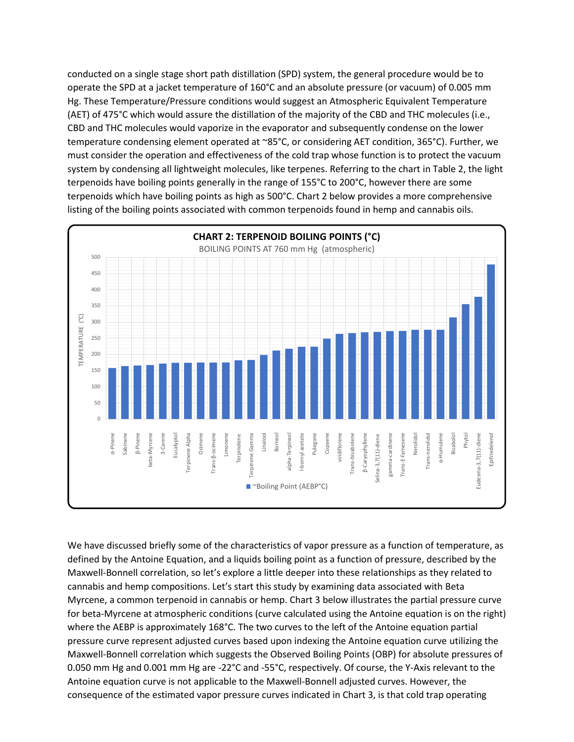conducted on a single stage short path distillation (SPD) system, the general procedure would be to operate the SPD at a jacket temperature of 160°C and an absolute pressure (or vacuum) of 0.005 mm Hg. These Temperature/Pressure conditions would suggest an Atmospheric Equivalent Temperature (AET) of 475°C which would assure the distillation of the majority of the CBD and THC molecules (i.e., CBD and THC molecules would vaporize in the evaporator and subsequently condense on the lower temperature condensing element operated at ~85°C, or considering AET condition, 365°C). Further, we must consider the operation and effectiveness of the cold trap whose function is to protect the vacuum system by condensing all lightweight molecules, like terpenes. Referring to the chart in Table 2, the light terpenoids have boiling points generally in the range of 155°C to 200°C, however there are some terpenoids which have boiling points as high as 500°C. Chart 2 below provides a more comprehensive listing of the boiling points associated with common terpenoids found in hemp and cannabis oils.



We have discussed briefly some of the characteristics of vapor pressure as a function of temperature, as defined by the Antoine Equation, and a liquids boiling point as a function of pressure, described by the Maxwell-Bonnell correlation, so let's explore a little deeper into these relationships as they related to cannabis and hemp compositions. Let's start this study by examining data associated with Beta Myrcene, a common terpenoid in cannabis or hemp. Chart 3 below illustrates the partial pressure curve for beta-Myrcene at atmospheric conditions (curve calculated using the Antoine equation is on the right) where the AEBP is approximately 168°C. The two curves to the left of the Antoine equation partial pressure curve represent adjusted curves based upon indexing the Antoine equation curve utilizing the Maxwell-Bonnell correlation which suggests the Observed Boiling Points (OBP) for absolute pressures of 0.050 mm Hg and 0.001 mm Hg are -22°C and -55°C, respectively. Of course, the Y-Axis relevant to the Antoine equation curve is not applicable to the Maxwell-Bonnell adjusted curves. However, the consequence of the estimated vapor pressure curves indicated in Chart 3, is that cold trap operating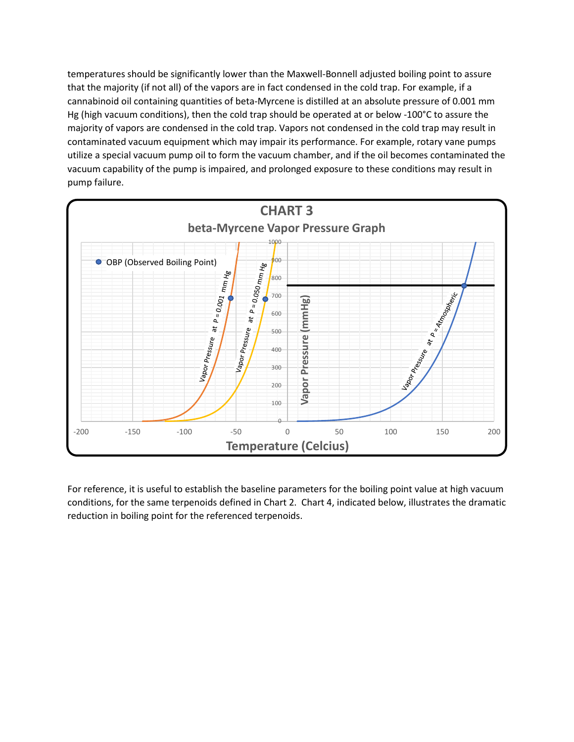temperatures should be significantly lower than the Maxwell-Bonnell adjusted boiling point to assure that the majority (if not all) of the vapors are in fact condensed in the cold trap. For example, if a cannabinoid oil containing quantities of beta-Myrcene is distilled at an absolute pressure of 0.001 mm Hg (high vacuum conditions), then the cold trap should be operated at or below -100°C to assure the majority of vapors are condensed in the cold trap. Vapors not condensed in the cold trap may result in contaminated vacuum equipment which may impair its performance. For example, rotary vane pumps utilize a special vacuum pump oil to form the vacuum chamber, and if the oil becomes contaminated the vacuum capability of the pump is impaired, and prolonged exposure to these conditions may result in pump failure.



For reference, it is useful to establish the baseline parameters for the boiling point value at high vacuum conditions, for the same terpenoids defined in Chart 2. Chart 4, indicated below, illustrates the dramatic reduction in boiling point for the referenced terpenoids.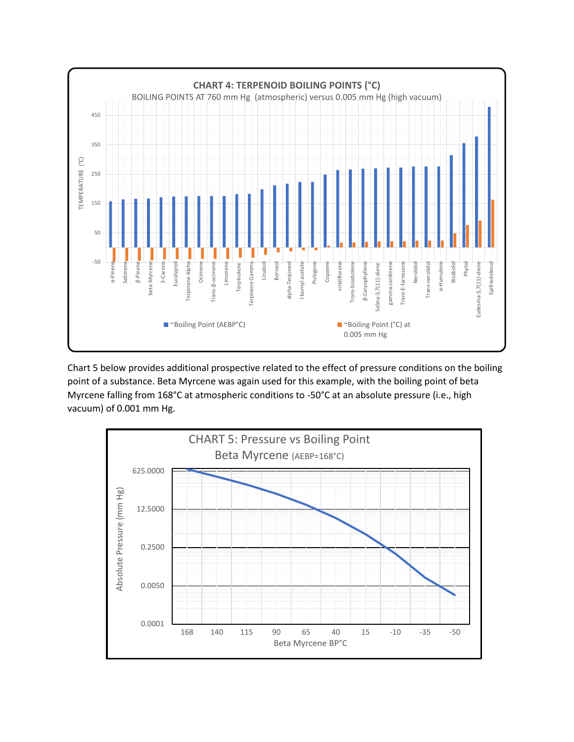

Chart 5 below provides additional prospective related to the effect of pressure conditions on the boiling point of a substance. Beta Myrcene was again used for this example, with the boiling point of beta Myrcene falling from 168°C at atmospheric conditions to -50°C at an absolute pressure (i.e., high vacuum) of 0.001 mm Hg.

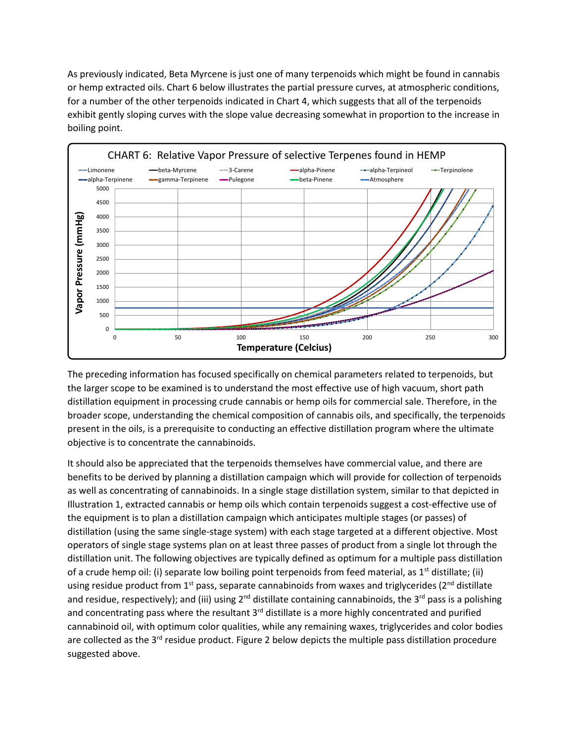As previously indicated, Beta Myrcene is just one of many terpenoids which might be found in cannabis or hemp extracted oils. Chart 6 below illustrates the partial pressure curves, at atmospheric conditions, for a number of the other terpenoids indicated in Chart 4, which suggests that all of the terpenoids exhibit gently sloping curves with the slope value decreasing somewhat in proportion to the increase in boiling point.



The preceding information has focused specifically on chemical parameters related to terpenoids, but the larger scope to be examined is to understand the most effective use of high vacuum, short path distillation equipment in processing crude cannabis or hemp oils for commercial sale. Therefore, in the broader scope, understanding the chemical composition of cannabis oils, and specifically, the terpenoids present in the oils, is a prerequisite to conducting an effective distillation program where the ultimate objective is to concentrate the cannabinoids.

It should also be appreciated that the terpenoids themselves have commercial value, and there are benefits to be derived by planning a distillation campaign which will provide for collection of terpenoids as well as concentrating of cannabinoids. In a single stage distillation system, similar to that depicted in Illustration 1, extracted cannabis or hemp oils which contain terpenoids suggest a cost-effective use of the equipment is to plan a distillation campaign which anticipates multiple stages (or passes) of distillation (using the same single-stage system) with each stage targeted at a different objective. Most operators of single stage systems plan on at least three passes of product from a single lot through the distillation unit. The following objectives are typically defined as optimum for a multiple pass distillation of a crude hemp oil: (i) separate low boiling point terpenoids from feed material, as  $1<sup>st</sup>$  distillate; (ii) using residue product from 1<sup>st</sup> pass, separate cannabinoids from waxes and triglycerides ( $2<sup>nd</sup>$  distillate and residue, respectively); and (iii) using  $2^{nd}$  distillate containing cannabinoids, the  $3^{rd}$  pass is a polishing and concentrating pass where the resultant 3<sup>rd</sup> distillate is a more highly concentrated and purified cannabinoid oil, with optimum color qualities, while any remaining waxes, triglycerides and color bodies are collected as the 3<sup>rd</sup> residue product. Figure 2 below depicts the multiple pass distillation procedure suggested above.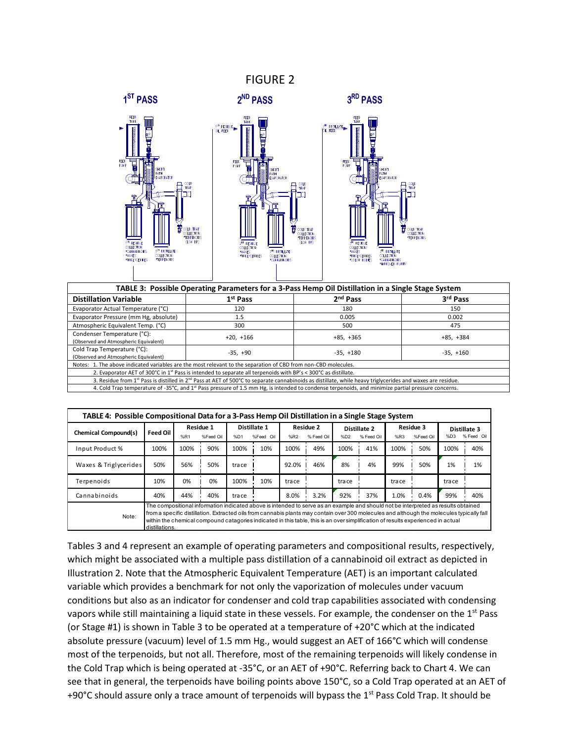#### FIGURE 2



| TABLE 3: Possible Operating Parameters for a 3-Pass Hemp Oil Distillation in a Single Stage System             |                                                                                                                                                                                    |                      |             |  |  |  |  |  |  |
|----------------------------------------------------------------------------------------------------------------|------------------------------------------------------------------------------------------------------------------------------------------------------------------------------------|----------------------|-------------|--|--|--|--|--|--|
| <b>Distillation Variable</b>                                                                                   | 1 <sup>st</sup> Pass                                                                                                                                                               | 2 <sup>nd</sup> Pass | 3rd Pass    |  |  |  |  |  |  |
| Evaporator Actual Temperature (°C)                                                                             | 120                                                                                                                                                                                | 180                  | 150         |  |  |  |  |  |  |
| Evaporator Pressure (mm Hg, absolute)                                                                          | 1.5                                                                                                                                                                                | 0.005                | 0.002       |  |  |  |  |  |  |
| Atmospheric Equivalent Temp. (°C)                                                                              | 300                                                                                                                                                                                | 500                  | 475         |  |  |  |  |  |  |
| Condenser Temperature (°C):<br>(Observed and Atmospheric Equivalent)                                           | $+20, +166$                                                                                                                                                                        | $+85, +365$          | $+85, +384$ |  |  |  |  |  |  |
| Cold Trap Temperature (°C):<br>(Observed and Atmospheric Equivalent)                                           | $-35. +90$                                                                                                                                                                         | $-35. +180$          | $-35, +160$ |  |  |  |  |  |  |
| Notes: 1. The above indicated variables are the most relevant to the separation of CBD from non-CBD molecules. |                                                                                                                                                                                    |                      |             |  |  |  |  |  |  |
|                                                                                                                | 2. Evaporator AET of 300°C in 1 <sup>st</sup> Pass is intended to separate all terpenoids with BP's < 300°C as distillate.                                                         |                      |             |  |  |  |  |  |  |
|                                                                                                                | 3. Residue from 1 <sup>st</sup> Pass is distilled in 2 <sup>nd</sup> Pass at AET of 500°C to separate cannabinoids as distillate, while heavy triglycerides and waxes are residue. |                      |             |  |  |  |  |  |  |
|                                                                                                                | 4. Cold Trap temperature of -35°C, and 1 <sup>st</sup> Pass pressure of 1.5 mm Hg, is intended to condense terpenoids, and minimize partial pressure concerns.                     |                      |             |  |  |  |  |  |  |

| TABLE 4: Possible Compositional Data for a 3-Pass Hemp Oil Distillation in a Single Stage System                                                                                                                                                                                                                                                                                                                                               |                 |      |                        |        |                           |       |                                |        |                            |        |                        |       |                            |
|------------------------------------------------------------------------------------------------------------------------------------------------------------------------------------------------------------------------------------------------------------------------------------------------------------------------------------------------------------------------------------------------------------------------------------------------|-----------------|------|------------------------|--------|---------------------------|-------|--------------------------------|--------|----------------------------|--------|------------------------|-------|----------------------------|
| Chemical Compound(s)                                                                                                                                                                                                                                                                                                                                                                                                                           | <b>Feed Oil</b> | %R1  | Residue 1<br>%Feed Oil | %D1    | Distillate 1<br>%Feed Oil | %R2   | <b>Residue 2</b><br>% Feed Oil | %D2    | Distillate 2<br>% Feed Oil | %R3    | Residue 3<br>%Feed Oil | %D3   | Distillate 3<br>% Feed Oil |
| Input Product %                                                                                                                                                                                                                                                                                                                                                                                                                                | 100%            | 100% | 90%                    | 100%   | 10%                       | 100%  | 49%                            | 100%   | 41%                        | 100%   | 50%                    | 100%  | 40%                        |
|                                                                                                                                                                                                                                                                                                                                                                                                                                                |                 |      |                        |        |                           |       |                                |        |                            |        |                        |       |                            |
| Waxes & Triglycerides                                                                                                                                                                                                                                                                                                                                                                                                                          | 50%             | 56%  | 50%                    | tra ce |                           | 92.0% | 46%                            | 8%     | 4%                         | 99%    | 50%                    | 1%    | 1%                         |
| Terpenoids                                                                                                                                                                                                                                                                                                                                                                                                                                     | 10%             | 0%   | 0%                     | 100%   | 10%                       | trace |                                | tra ce |                            | tra ce |                        | trace |                            |
| Cannabinoids                                                                                                                                                                                                                                                                                                                                                                                                                                   | 40%             | 44%  | 40%                    | tra ce |                           | 8.0%  | 3.2%                           | 92%    | 37%                        | 1.0%   | 0.4%                   | 99%   | 40%                        |
| The compositional information indicated above is intended to serve as an example and should not be interpreted as results obtained<br>from a specific distillation. Extracted oils from cannabis plants may contain over 300 molecules and although the molecules typically fall<br>Note:<br>within the chemical compound catagories indicated in this table, this is an over simplification of results experienced in actual<br>distillations |                 |      |                        |        |                           |       |                                |        |                            |        |                        |       |                            |

Tables 3 and 4 represent an example of operating parameters and compositional results, respectively, which might be associated with a multiple pass distillation of a cannabinoid oil extract as depicted in Illustration 2. Note that the Atmospheric Equivalent Temperature (AET) is an important calculated variable which provides a benchmark for not only the vaporization of molecules under vacuum conditions but also as an indicator for condenser and cold trap capabilities associated with condensing vapors while still maintaining a liquid state in these vessels. For example, the condenser on the 1<sup>st</sup> Pass (or Stage #1) is shown in Table 3 to be operated at a temperature of +20°C which at the indicated absolute pressure (vacuum) level of 1.5 mm Hg., would suggest an AET of 166°C which will condense most of the terpenoids, but not all. Therefore, most of the remaining terpenoids will likely condense in the Cold Trap which is being operated at -35°C, or an AET of +90°C. Referring back to Chart 4. We can see that in general, the terpenoids have boiling points above 150°C, so a Cold Trap operated at an AET of +90°C should assure only a trace amount of terpenoids will bypass the 1<sup>st</sup> Pass Cold Trap. It should be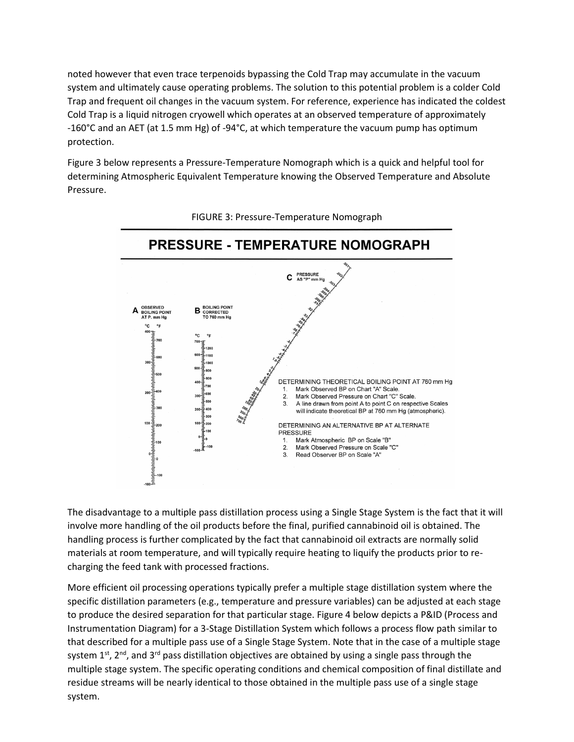noted however that even trace terpenoids bypassing the Cold Trap may accumulate in the vacuum system and ultimately cause operating problems. The solution to this potential problem is a colder Cold Trap and frequent oil changes in the vacuum system. For reference, experience has indicated the coldest Cold Trap is a liquid nitrogen cryowell which operates at an observed temperature of approximately -160°C and an AET (at 1.5 mm Hg) of -94°C, at which temperature the vacuum pump has optimum protection.

Figure 3 below represents a Pressure-Temperature Nomograph which is a quick and helpful tool for determining Atmospheric Equivalent Temperature knowing the Observed Temperature and Absolute Pressure.



FIGURE 3: Pressure-Temperature Nomograph

The disadvantage to a multiple pass distillation process using a Single Stage System is the fact that it will involve more handling of the oil products before the final, purified cannabinoid oil is obtained. The handling process is further complicated by the fact that cannabinoid oil extracts are normally solid materials at room temperature, and will typically require heating to liquify the products prior to recharging the feed tank with processed fractions.

More efficient oil processing operations typically prefer a multiple stage distillation system where the specific distillation parameters (e.g., temperature and pressure variables) can be adjusted at each stage to produce the desired separation for that particular stage. Figure 4 below depicts a P&ID (Process and Instrumentation Diagram) for a 3-Stage Distillation System which follows a process flow path similar to that described for a multiple pass use of a Single Stage System. Note that in the case of a multiple stage system  $1^{st}$ ,  $2^{nd}$ , and  $3^{rd}$  pass distillation objectives are obtained by using a single pass through the multiple stage system. The specific operating conditions and chemical composition of final distillate and residue streams will be nearly identical to those obtained in the multiple pass use of a single stage system.